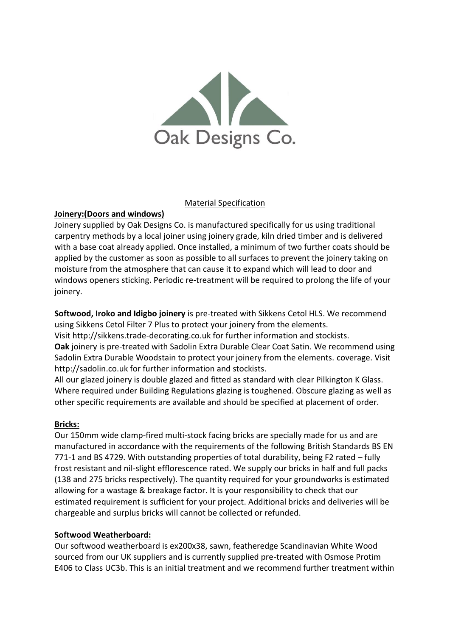

#### Material Specification

# **Joinery:(Doors and windows)**

Joinery supplied by Oak Designs Co. is manufactured specifically for us using traditional carpentry methods by a local joiner using joinery grade, kiln dried timber and is delivered with a base coat already applied. Once installed, a minimum of two further coats should be applied by the customer as soon as possible to all surfaces to prevent the joinery taking on moisture from the atmosphere that can cause it to expand which will lead to door and windows openers sticking. Periodic re-treatment will be required to prolong the life of your joinery.

**Softwood, Iroko and Idigbo joinery** is pre-treated with Sikkens Cetol HLS. We recommend using Sikkens Cetol Filter 7 Plus to protect your joinery from the elements.

Visit http://sikkens.trade-decorating.co.uk for further information and stockists.

**Oak** joinery is pre-treated with Sadolin Extra Durable Clear Coat Satin. We recommend using Sadolin Extra Durable Woodstain to protect your joinery from the elements. coverage. Visit http://sadolin.co.uk for further information and stockists.

All our glazed joinery is double glazed and fitted as standard with clear Pilkington K Glass. Where required under Building Regulations glazing is toughened. Obscure glazing as well as other specific requirements are available and should be specified at placement of order.

## **Bricks:**

Our 150mm wide clamp-fired multi-stock facing bricks are specially made for us and are manufactured in accordance with the requirements of the following British Standards BS EN 771-1 and BS 4729. With outstanding properties of total durability, being F2 rated – fully frost resistant and nil-slight efflorescence rated. We supply our bricks in half and full packs (138 and 275 bricks respectively). The quantity required for your groundworks is estimated allowing for a wastage & breakage factor. It is your responsibility to check that our estimated requirement is sufficient for your project. Additional bricks and deliveries will be chargeable and surplus bricks will cannot be collected or refunded.

## **Softwood Weatherboard:**

Our softwood weatherboard is ex200x38, sawn, featheredge Scandinavian White Wood sourced from our UK suppliers and is currently supplied pre-treated with Osmose Protim E406 to Class UC3b. This is an initial treatment and we recommend further treatment within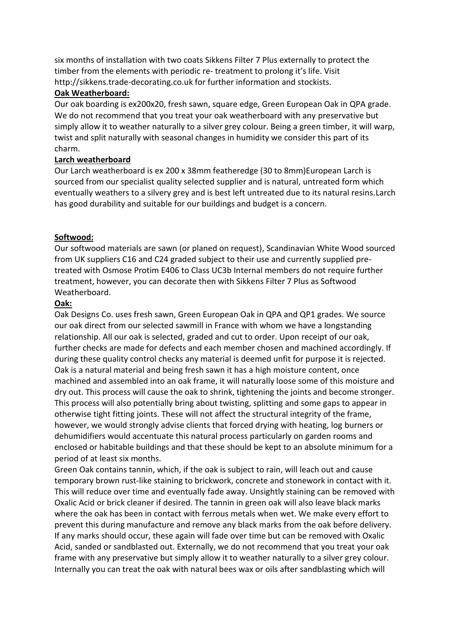six months of installation with two coats Sikkens Filter 7 Plus externally to protect the timber from the elements with periodic re- treatment to prolong it's life. Visit http://sikkens.trade-decorating.co.uk for further information and stockists.

### **Oak Weatherboard:**

Our oak boarding is ex200x20, fresh sawn, square edge, Green European Oak in QPA grade. We do not recommend that you treat your oak weatherboard with any preservative but simply allow it to weather naturally to a silver grey colour. Being a green timber, it will warp, twist and split naturally with seasonal changes in humidity we consider this part of its charm.

### **Larch weatherboard**

Our Larch weatherboard is ex 200 x 38mm featheredge (30 to 8mm)European Larch is sourced from our specialist quality selected supplier and is natural, untreated form which eventually weathers to a silvery grey and is best left untreated due to its natural resins.Larch has good durability and suitable for our buildings and budget is a concern.

### **Softwood:**

Our softwood materials are sawn (or planed on request), Scandinavian White Wood sourced from UK suppliers C16 and C24 graded subject to their use and currently supplied pretreated with Osmose Protim E406 to Class UC3b Internal members do not require further treatment, however, you can decorate then with Sikkens Filter 7 Plus as Softwood Weatherboard.

### **Oak:**

Oak Designs Co. uses fresh sawn, Green European Oak in QPA and QP1 grades. We source our oak direct from our selected sawmill in France with whom we have a longstanding relationship. All our oak is selected, graded and cut to order. Upon receipt of our oak, further checks are made for defects and each member chosen and machined accordingly. If during these quality control checks any material is deemed unfit for purpose it is rejected. Oak is a natural material and being fresh sawn it has a high moisture content, once machined and assembled into an oak frame, it will naturally loose some of this moisture and dry out. This process will cause the oak to shrink, tightening the joints and become stronger. This process will also potentially bring about twisting, splitting and some gaps to appear in otherwise tight fitting joints. These will not affect the structural integrity of the frame, however, we would strongly advise clients that forced drying with heating, log burners or dehumidifiers would accentuate this natural process particularly on garden rooms and enclosed or habitable buildings and that these should be kept to an absolute minimum for a period of at least six months.

Green Oak contains tannin, which, if the oak is subject to rain, will leach out and cause temporary brown rust-like staining to brickwork, concrete and stonework in contact with it. This will reduce over time and eventually fade away. Unsightly staining can be removed with Oxalic Acid or brick cleaner if desired. The tannin in green oak will also leave black marks where the oak has been in contact with ferrous metals when wet. We make every effort to prevent this during manufacture and remove any black marks from the oak before delivery. If any marks should occur, these again will fade over time but can be removed with Oxalic Acid, sanded or sandblasted out. Externally, we do not recommend that you treat your oak frame with any preservative but simply allow it to weather naturally to a silver grey colour. Internally you can treat the oak with natural bees wax or oils after sandblasting which will